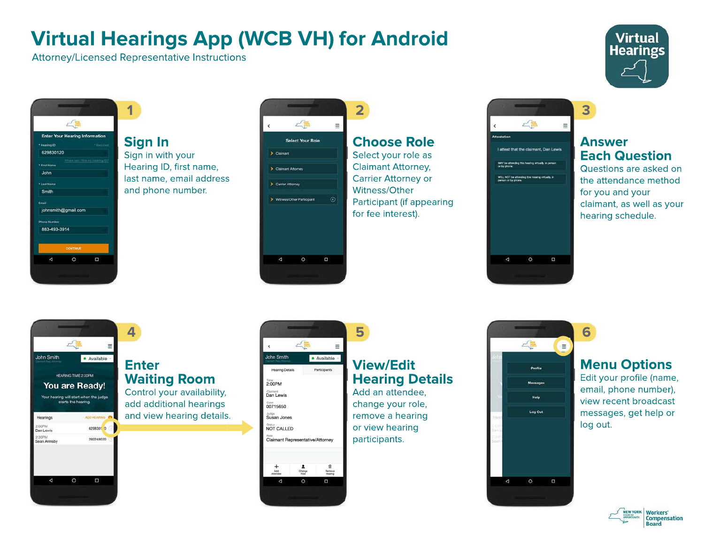# **Virtual Hearings App (WCB VH) for Android**

Attorney/Licensed Representative Instructions





**Sign In** Sign in with your Hearing ID, first name, last name, email address and phone number.



## **Choose Role**

**2**

Select your role as Claimant Attorney, Carrier Attorney or Witness/Other Participant (if appearing for fee interest).



#### **Answer Each Question**

**3**

**6**

Questions are asked on the attendance method for you and your claimant, as well as your hearing schedule.



### **Enter Waiting Room**

Control your availability, add additional hearings and view hearing details.



## **View/Edit Hearing Details**

Add an attendee, change your role, remove a hearing or view hearing



### **Menu Options**

Edit your profile (name, email, phone number), view recent broadcast messages, get help or log out.